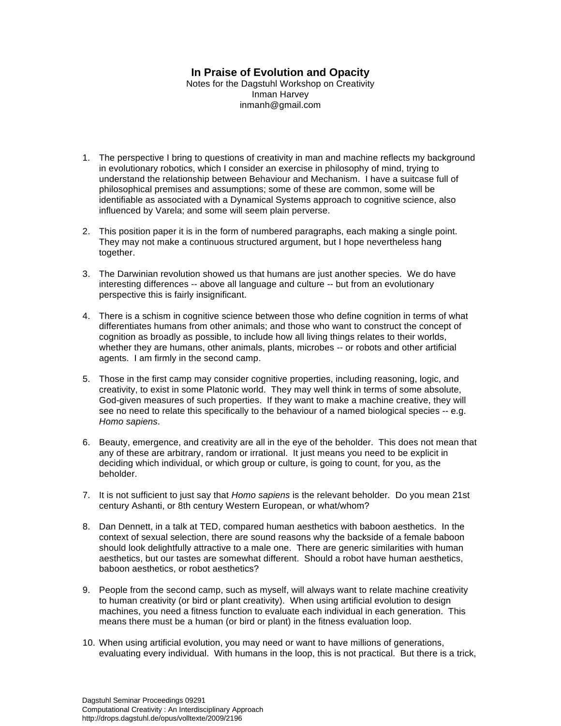## **In Praise of Evolution and Opacity**

Notes for the Dagstuhl Workshop on Creativity Inman Harvey inmanh@gmail.com

- 1. The perspective I bring to questions of creativity in man and machine reflects my background in evolutionary robotics, which I consider an exercise in philosophy of mind, trying to understand the relationship between Behaviour and Mechanism. I have a suitcase full of philosophical premises and assumptions; some of these are common, some will be identifiable as associated with a Dynamical Systems approach to cognitive science, also influenced by Varela; and some will seem plain perverse.
- 2. This position paper it is in the form of numbered paragraphs, each making a single point. They may not make a continuous structured argument, but I hope nevertheless hang together.
- 3. The Darwinian revolution showed us that humans are just another species. We do have interesting differences -- above all language and culture -- but from an evolutionary perspective this is fairly insignificant.
- 4. There is a schism in cognitive science between those who define cognition in terms of what differentiates humans from other animals; and those who want to construct the concept of cognition as broadly as possible, to include how all living things relates to their worlds, whether they are humans, other animals, plants, microbes -- or robots and other artificial agents. I am firmly in the second camp.
- 5. Those in the first camp may consider cognitive properties, including reasoning, logic, and creativity, to exist in some Platonic world. They may well think in terms of some absolute, God-given measures of such properties. If they want to make a machine creative, they will see no need to relate this specifically to the behaviour of a named biological species -- e.g. *Homo sapiens*.
- 6. Beauty, emergence, and creativity are all in the eye of the beholder. This does not mean that any of these are arbitrary, random or irrational. It just means you need to be explicit in deciding which individual, or which group or culture, is going to count, for you, as the beholder.
- 7. It is not sufficient to just say that *Homo sapiens* is the relevant beholder*.* Do you mean 21st century Ashanti, or 8th century Western European, or what/whom?
- 8. Dan Dennett, in a talk at TED, compared human aesthetics with baboon aesthetics. In the context of sexual selection, there are sound reasons why the backside of a female baboon should look delightfully attractive to a male one. There are generic similarities with human aesthetics, but our tastes are somewhat different. Should a robot have human aesthetics, baboon aesthetics, or robot aesthetics?
- 9. People from the second camp, such as myself, will always want to relate machine creativity to human creativity (or bird or plant creativity). When using artificial evolution to design machines, you need a fitness function to evaluate each individual in each generation. This means there must be a human (or bird or plant) in the fitness evaluation loop.
- 10. When using artificial evolution, you may need or want to have millions of generations, evaluating every individual. With humans in the loop, this is not practical. But there is a trick,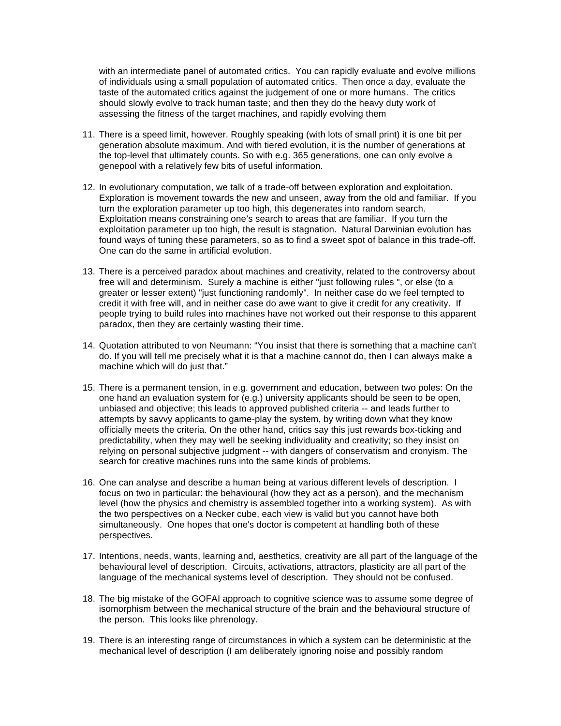with an intermediate panel of automated critics. You can rapidly evaluate and evolve millions of individuals using a small population of automated critics. Then once a day, evaluate the taste of the automated critics against the judgement of one or more humans. The critics should slowly evolve to track human taste; and then they do the heavy duty work of assessing the fitness of the target machines, and rapidly evolving them

- 11. There is a speed limit, however. Roughly speaking (with lots of small print) it is one bit per generation absolute maximum. And with tiered evolution, it is the number of generations at the top-level that ultimately counts. So with e.g. 365 generations, one can only evolve a genepool with a relatively few bits of useful information.
- 12. In evolutionary computation, we talk of a trade-off between exploration and exploitation. Exploration is movement towards the new and unseen, away from the old and familiar. If you turn the exploration parameter up too high, this degenerates into random search. Exploitation means constraining one's search to areas that are familiar. If you turn the exploitation parameter up too high, the result is stagnation. Natural Darwinian evolution has found ways of tuning these parameters, so as to find a sweet spot of balance in this trade-off. One can do the same in artificial evolution.
- 13. There is a perceived paradox about machines and creativity, related to the controversy about free will and determinism. Surely a machine is either "just following rules ", or else (to a greater or lesser extent) "just functioning randomly". In neither case do we feel tempted to credit it with free will, and in neither case do awe want to give it credit for any creativity. If people trying to build rules into machines have not worked out their response to this apparent paradox, then they are certainly wasting their time.
- 14. Quotation attributed to von Neumann: "You insist that there is something that a machine can't do. If you will tell me precisely what it is that a machine cannot do, then I can always make a machine which will do just that."
- 15. There is a permanent tension, in e.g. government and education, between two poles: On the one hand an evaluation system for (e.g.) university applicants should be seen to be open, unbiased and objective; this leads to approved published criteria -- and leads further to attempts by savvy applicants to game-play the system, by writing down what they know officially meets the criteria. On the other hand, critics say this just rewards box-ticking and predictability, when they may well be seeking individuality and creativity; so they insist on relying on personal subjective judgment -- with dangers of conservatism and cronyism. The search for creative machines runs into the same kinds of problems.
- 16. One can analyse and describe a human being at various different levels of description. I focus on two in particular: the behavioural (how they act as a person), and the mechanism level (how the physics and chemistry is assembled together into a working system). As with the two perspectives on a Necker cube, each view is valid but you cannot have both simultaneously. One hopes that one's doctor is competent at handling both of these perspectives.
- 17. Intentions, needs, wants, learning and, aesthetics, creativity are all part of the language of the behavioural level of description. Circuits, activations, attractors, plasticity are all part of the language of the mechanical systems level of description. They should not be confused.
- 18. The big mistake of the GOFAI approach to cognitive science was to assume some degree of isomorphism between the mechanical structure of the brain and the behavioural structure of the person. This looks like phrenology.
- 19. There is an interesting range of circumstances in which a system can be deterministic at the mechanical level of description (I am deliberately ignoring noise and possibly random